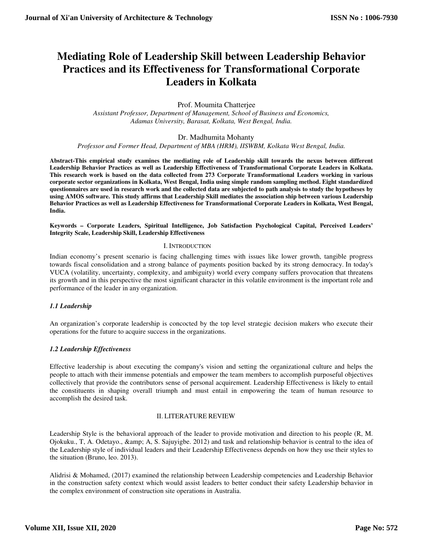# **Mediating Role of Leadership Skill between Leadership Behavior Practices and its Effectiveness for Transformational Corporate Leaders in Kolkata**

Prof. Moumita Chatterjee

*Assistant Professor, Department of Management, School of Business and Economics, Adamas University, Barasat, Kolkata, West Bengal, India.* 

Dr. Madhumita Mohanty

*Professor and Former Head, Department of MBA (HRM), IISWBM, Kolkata West Bengal, India.*

**Abstract-This empirical study examines the mediating role of Leadership skill towards the nexus between different Leadership Behavior Practices as well as Leadership Effectiveness of Transformational Corporate Leaders in Kolkata. This research work is based on the data collected from 273 Corporate Transformational Leaders working in various corporate sector organizations in Kolkata, West Bengal, India using simple random sampling method. Eight standardized questionnaires are used in research work and the collected data are subjected to path analysis to study the hypotheses by using AMOS software. This study affirms that Leadership Skill mediates the association ship between various Leadership Behavior Practices as well as Leadership Effectiveness for Transformational Corporate Leaders in Kolkata, West Bengal, India.** 

**Keywords – Corporate Leaders, Spiritual Intelligence, Job Satisfaction Psychological Capital, Perceived Leaders' Integrity Scale, Leadership Skill, Leadership Effectiveness** 

#### I. INTRODUCTION

Indian economy's present scenario is facing challenging times with issues like lower growth, tangible progress towards fiscal consolidation and a strong balance of payments position backed by its strong democracy. In today's VUCA (volatility, uncertainty, complexity, and ambiguity) world every company suffers provocation that threatens its growth and in this perspective the most significant character in this volatile environment is the important role and performance of the leader in any organization.

### *1.1 Leadership*

An organization's corporate leadership is concocted by the top level strategic decision makers who execute their operations for the future to acquire success in the organizations.

### *1.2 Leadership Effectiveness*

Effective leadership is about executing the company's vision and setting the organizational culture and helps the people to attach with their immense potentials and empower the team members to accomplish purposeful objectives collectively that provide the contributors sense of personal acquirement. Leadership Effectiveness is likely to entail the constituents in shaping overall triumph and must entail in empowering the team of human resource to accomplish the desired task.

#### II. LITERATURE REVIEW

Leadership Style is the behavioral approach of the leader to provide motivation and direction to his people (R, M. Ojokuku., T, A. Odetayo., & A, S. Sajuyigbe. 2012) and task and relationship behavior is central to the idea of the Leadership style of individual leaders and their Leadership Effectiveness depends on how they use their styles to the situation (Bruno, leo. 2013).

Alidrisi & Mohamed, (2017) examined the relationship between Leadership competencies and Leadership Behavior in the construction safety context which would assist leaders to better conduct their safety Leadership behavior in the complex environment of construction site operations in Australia.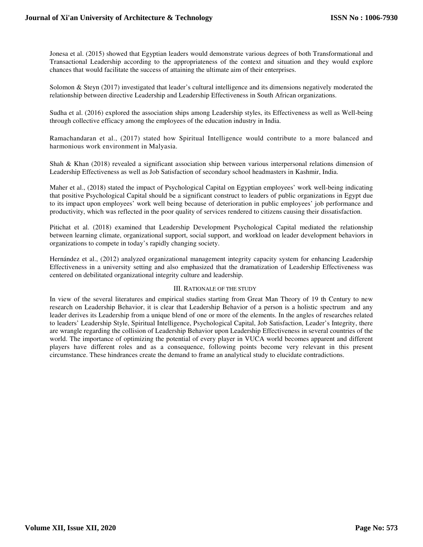Jonesa et al. (2015) showed that Egyptian leaders would demonstrate various degrees of both Transformational and Transactional Leadership according to the appropriateness of the context and situation and they would explore chances that would facilitate the success of attaining the ultimate aim of their enterprises.

Solomon & Steyn (2017) investigated that leader's cultural intelligence and its dimensions negatively moderated the relationship between directive Leadership and Leadership Effectiveness in South African organizations.

Sudha et al. (2016) explored the association ships among Leadership styles, its Effectiveness as well as Well-being through collective efficacy among the employees of the education industry in India.

Ramachandaran et al., (2017) stated how Spiritual Intelligence would contribute to a more balanced and harmonious work environment in Malyasia.

Shah & Khan (2018) revealed a significant association ship between various interpersonal relations dimension of Leadership Effectiveness as well as Job Satisfaction of secondary school headmasters in Kashmir, India.

Maher et al., (2018) stated the impact of Psychological Capital on Egyptian employees' work well-being indicating that positive Psychological Capital should be a significant construct to leaders of public organizations in Egypt due to its impact upon employees' work well being because of deterioration in public employees' job performance and productivity, which was reflected in the poor quality of services rendered to citizens causing their dissatisfaction.

Pitichat et al. (2018) examined that Leadership Development Psychological Capital mediated the relationship between learning climate, organizational support, social support, and workload on leader development behaviors in organizations to compete in today's rapidly changing society.

Hernández et al., (2012) analyzed organizational management integrity capacity system for enhancing Leadership Effectiveness in a university setting and also emphasized that the dramatization of Leadership Effectiveness was centered on debilitated organizational integrity culture and leadership.

#### III. RATIONALE OF THE STUDY

In view of the several literatures and empirical studies starting from Great Man Theory of 19 th Century to new research on Leadership Behavior, it is clear that Leadership Behavior of a person is a holistic spectrum and any leader derives its Leadership from a unique blend of one or more of the elements. In the angles of researches related to leaders' Leadership Style, Spiritual Intelligence, Psychological Capital, Job Satisfaction, Leader's Integrity, there are wrangle regarding the collision of Leadership Behavior upon Leadership Effectiveness in several countries of the world. The importance of optimizing the potential of every player in VUCA world becomes apparent and different players have different roles and as a consequence, following points become very relevant in this present circumstance. These hindrances create the demand to frame an analytical study to elucidate contradictions.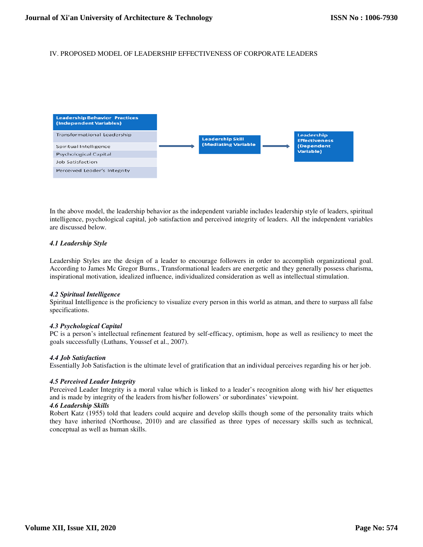## IV. PROPOSED MODEL OF LEADERSHIP EFFECTIVENESS OF CORPORATE LEADERS



In the above model, the leadership behavior as the independent variable includes leadership style of leaders, spiritual intelligence, psychological capital, job satisfaction and perceived integrity of leaders. All the independent variables are discussed below.

#### *4.1 Leadership Style*

Leadership Styles are the design of a leader to encourage followers in order to accomplish organizational goal. According to James Mc Gregor Burns., Transformational leaders are energetic and they generally possess charisma, inspirational motivation, idealized influence, individualized consideration as well as intellectual stimulation.

#### *4.2 Spiritual Intelligence*

Spiritual Intelligence is the proficiency to visualize every person in this world as atman, and there to surpass all false specifications.

#### *4.3 Psychological Capital*

PC is a person's intellectual refinement featured by self-efficacy, optimism, hope as well as resiliency to meet the goals successfully (Luthans, Youssef et al., 2007).

#### *4.4 Job Satisfaction*

Essentially Job Satisfaction is the ultimate level of gratification that an individual perceives regarding his or her job.

#### *4.5 Perceived Leader Integrity*

Perceived Leader Integrity is a moral value which is linked to a leader's recognition along with his/ her etiquettes and is made by integrity of the leaders from his/her followers' or subordinates' viewpoint.

### *4.6 Leadership Skills*

Robert Katz (1955) told that leaders could acquire and develop skills though some of the personality traits which they have inherited (Northouse, 2010) and are classified as three types of necessary skills such as technical, conceptual as well as human skills.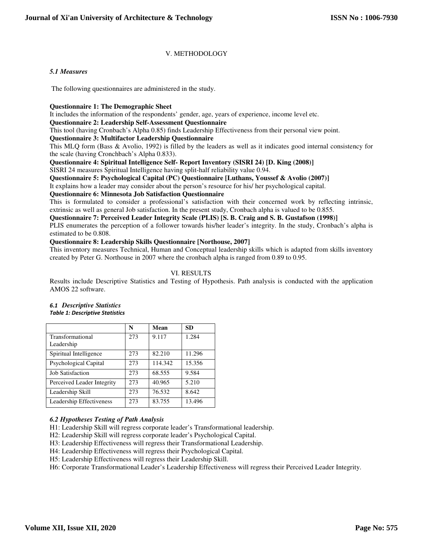## V. METHODOLOGY

#### *5.1 Measures*

The following questionnaires are administered in the study.

#### **Questionnaire 1: The Demographic Sheet**

It includes the information of the respondents' gender, age, years of experience, income level etc.

#### **Questionnaire 2: Leadership Self-Assessment Questionnaire**

This tool (having Cronbach's Alpha 0.85) finds Leadership Effectiveness from their personal view point.

#### **Questionnaire 3: Multifactor Leadership Questionnaire**

This MLQ form (Bass & Avolio, 1992) is filled by the leaders as well as it indicates good internal consistency for the scale (having Cronchbach's Alpha 0.833).

#### **Questionnaire 4: Spiritual Intelligence Self- Report Inventory (SISRI 24) [D. King (2008)]**

SISRI 24 measures Spiritual Intelligence having split-half reliability value 0.94.

#### **Questionnaire 5: Psychological Capital (PC) Questionnaire [Luthans, Youssef & Avolio (2007)]**

It explains how a leader may consider about the person's resource for his/ her psychological capital.

#### **Questionnaire 6: Minnesota Job Satisfaction Questionnaire**

This is formulated to consider a professional's satisfaction with their concerned work by reflecting intrinsic, extrinsic as well as general Job satisfaction. In the present study, Cronbach alpha is valued to be 0.855.

#### **Questionnaire 7: Perceived Leader Integrity Scale (PLIS) [S. B. Craig and S. B. Gustafson (1998)]**

PLIS enumerates the perception of a follower towards his/her leader's integrity. In the study, Cronbach's alpha is estimated to be 0.808.

#### **Questionnaire 8: Leadership Skills Questionnaire [Northouse, 2007]**

This inventory measures Technical, Human and Conceptual leadership skills which is adapted from skills inventory created by Peter G. Northouse in 2007 where the cronbach alpha is ranged from 0.89 to 0.95.

### VI. RESULTS

Results include Descriptive Statistics and Testing of Hypothesis. Path analysis is conducted with the application AMOS 22 software.

|                                | N   | Mean    | <b>SD</b> |
|--------------------------------|-----|---------|-----------|
| Transformational<br>Leadership | 273 | 9.117   | 1.284     |
| Spiritual Intelligence         | 273 | 82.210  | 11.296    |
| <b>Psychological Capital</b>   | 273 | 114.342 | 15.356    |
| <b>Job Satisfaction</b>        | 273 | 68.555  | 9.584     |
| Perceived Leader Integrity     | 273 | 40.965  | 5.210     |
| Leadership Skill               | 273 | 76.532  | 8.642     |
| Leadership Effectiveness       | 273 | 83.755  | 13.496    |

#### *6.1 Descriptive Statistics Table 1: Descriptive Statistics*

### *6.2 Hypotheses Testing of Path Analysis*

H1: Leadership Skill will regress corporate leader's Transformational leadership.

H2: Leadership Skill will regress corporate leader's Psychological Capital.

H3: Leadership Effectiveness will regress their Transformational Leadership.

H4: Leadership Effectiveness will regress their Psychological Capital.

H5: Leadership Effectiveness will regress their Leadership Skill.

H6: Corporate Transformational Leader's Leadership Effectiveness will regress their Perceived Leader Integrity.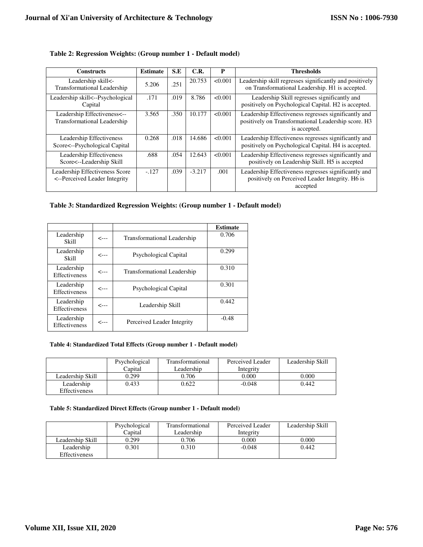| <b>Constructs</b>                                               | <b>Estimate</b> | S.E  | C.R.     | P       | <b>Thresholds</b>                                                                                                           |
|-----------------------------------------------------------------|-----------------|------|----------|---------|-----------------------------------------------------------------------------------------------------------------------------|
| Leadership skill<-<br><b>Transformational Leadership</b>        | 5.206           | .251 | 20.753   | < 0.001 | Leadership skill regresses significantly and positively<br>on Transformational Leadership. H1 is accepted.                  |
| Leadership skill<--Psychological<br>Capital                     | .171            | .019 | 8.786    | < 0.001 | Leadership Skill regresses significantly and<br>positively on Psychological Capital. H2 is accepted.                        |
| Leadership Effectiveness<--<br>Transformational Leadership      | 3.565           | .350 | 10.177   | < 0.001 | Leadership Effectiveness regresses significantly and<br>positively on Transformational Leadership score. H3<br>is accepted. |
| Leadership Effectiveness<br>Score<--Psychological Capital       | 0.268           | .018 | 14.686   | < 0.001 | Leadership Effectiveness regresses significantly and<br>positively on Psychological Capital. H4 is accepted.                |
| Leadership Effectiveness<br>Score<--Leadership Skill            | .688            | .054 | 12.643   | < 0.001 | Leadership Effectiveness regresses significantly and<br>positively on Leadership Skill. H5 is accepted                      |
| Leadership Effectiveness Score<br><--Perceived Leader Integrity | $-127$          | .039 | $-3.217$ | .001    | Leadership Effectiveness regresses significantly and<br>positively on Perceived Leader Integrity. H6 is<br>accepted         |

## **Table 2: Regression Weights: (Group number 1 - Default model)**

## **Table 3: Standardized Regression Weights: (Group number 1 - Default model)**

|                                    |      |                              | <b>Estimate</b> |
|------------------------------------|------|------------------------------|-----------------|
| Leadership<br>Skill                | <--- | Transformational Leadership  | 0.706           |
| Leadership<br>Skill                | <--- | <b>Psychological Capital</b> | 0.299           |
| Leadership<br>Effectiveness        | <--- | Transformational Leadership  | 0.310           |
| Leadership<br>Effectiveness        | <--- | <b>Psychological Capital</b> | 0.301           |
| Leadership<br>Effectiveness        | <--- | Leadership Skill             | 0.442           |
| Leadership<br><b>Effectiveness</b> | <--- | Perceived Leader Integrity   | $-0.48$         |

#### **Table 4: Standardized Total Effects (Group number 1 - Default model)**

|                  | Psychological<br>Capital | Transformational<br>Leadership | Perceived Leader<br>Integrity | Leadership Skill |
|------------------|--------------------------|--------------------------------|-------------------------------|------------------|
| Leadership Skill | 0.299                    | 0.706                          | 0.000                         | 0.000            |
| Leadership       | 0.433                    | 0.622                          | -0.048                        | 0.442            |
| Effectiveness    |                          |                                |                               |                  |

#### **Table 5: Standardized Direct Effects (Group number 1 - Default model)**

|                      | Psychological | Transformational | Perceived Leader | Leadership Skill |
|----------------------|---------------|------------------|------------------|------------------|
|                      | Capital       | Leadership       | Integrity        |                  |
| Leadership Skill     | 0.299         | 0.706            | 0.000            | 0.000            |
| Leadership           | 0.301         | 0.310            | -0.048           | 0.442            |
| <b>Effectiveness</b> |               |                  |                  |                  |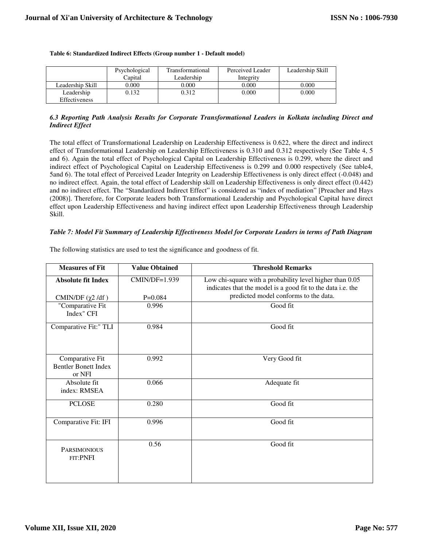|                             | Psychological<br>Capital | Transformational<br>Leadership | Perceived Leader<br>Integrity | Leadership Skill |
|-----------------------------|--------------------------|--------------------------------|-------------------------------|------------------|
| Leadership Skill            | 0.000                    | 0.000                          | 0.000                         | 0.000            |
| Leadership<br>Effectiveness | 0.132                    | 2.312                          | 0.000                         | 0.000            |

#### **Table 6: Standardized Indirect Effects (Group number 1 - Default model)**

#### *6.3 Reporting Path Analysis Results for Corporate Transformational Leaders in Kolkata including Direct and Indirect Effect*

The total effect of Transformational Leadership on Leadership Effectiveness is 0.622, where the direct and indirect effect of Transformational Leadership on Leadership Effectiveness is 0.310 and 0.312 respectively (See Table 4, 5 and 6). Again the total effect of Psychological Capital on Leadership Effectiveness is 0.299, where the direct and indirect effect of Psychological Capital on Leadership Effectiveness is 0.299 and 0.000 respectively (See table4, 5and 6). The total effect of Perceived Leader Integrity on Leadership Effectiveness is only direct effect (-0.048) and no indirect effect. Again, the total effect of Leadership skill on Leadership Effectiveness is only direct effect (0.442) and no indirect effect. The "Standardized Indirect Effect" is considered as "index of mediation" [Preacher and Hays (2008)]. Therefore, for Corporate leaders both Transformational Leadership and Psychological Capital have direct effect upon Leadership Effectiveness and having indirect effect upon Leadership Effectiveness through Leadership Skill.

### *Table 7: Model Fit Summary of Leadership Effectiveness Model for Corporate Leaders in terms of Path Diagram*

| <b>Measures of Fit</b>                                   | <b>Value Obtained</b> | <b>Threshold Remarks</b>                                                                                                |
|----------------------------------------------------------|-----------------------|-------------------------------------------------------------------------------------------------------------------------|
| <b>Absolute fit Index</b>                                | CMIN/DF=1.939         | Low chi-square with a probability level higher than 0.05<br>indicates that the model is a good fit to the data i.e. the |
| CMIN/DF $(\chi^2$ /df $)$                                | $P=0.084$             | predicted model conforms to the data.                                                                                   |
| "Comparative Fit<br>Index" CFI                           | 0.996                 | Good fit                                                                                                                |
| Comparative Fit:" TLI                                    | 0.984                 | Good fit                                                                                                                |
| Comparative Fit<br><b>Bentler Bonett Index</b><br>or NFI | 0.992                 | Very Good fit                                                                                                           |
| Absolute fit<br>index: RMSEA                             | 0.066                 | Adequate fit                                                                                                            |
| <b>PCLOSE</b>                                            | 0.280                 | Good fit                                                                                                                |
| Comparative Fit: IFI                                     | 0.996                 | Good fit                                                                                                                |
| <b>PARSIMONIOUS</b><br>FIT:PNFI                          | 0.56                  | Good fit                                                                                                                |

The following statistics are used to test the significance and goodness of fit.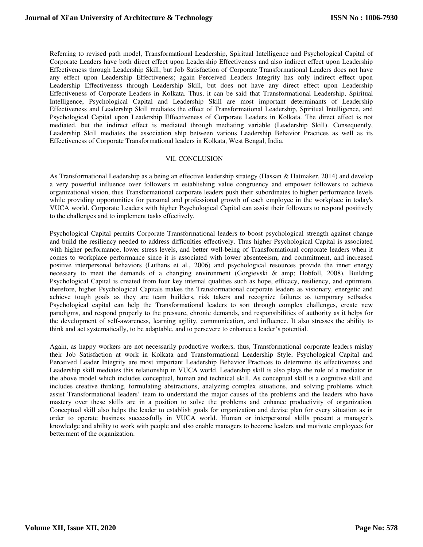Referring to revised path model, Transformational Leadership, Spiritual Intelligence and Psychological Capital of Corporate Leaders have both direct effect upon Leadership Effectiveness and also indirect effect upon Leadership Effectiveness through Leadership Skill; but Job Satisfaction of Corporate Transformational Leaders does not have any effect upon Leadership Effectiveness; again Perceived Leaders Integrity has only indirect effect upon Leadership Effectiveness through Leadership Skill, but does not have any direct effect upon Leadership Effectiveness of Corporate Leaders in Kolkata. Thus, it can be said that Transformational Leadership, Spiritual Intelligence, Psychological Capital and Leadership Skill are most important determinants of Leadership Effectiveness and Leadership Skill mediates the effect of Transformational Leadership, Spiritual Intelligence, and Psychological Capital upon Leadership Effectiveness of Corporate Leaders in Kolkata. The direct effect is not mediated, but the indirect effect is mediated through mediating variable (Leadership Skill). Consequently, Leadership Skill mediates the association ship between various Leadership Behavior Practices as well as its Effectiveness of Corporate Transformational leaders in Kolkata, West Bengal, India.

#### VII. CONCLUSION

As Transformational Leadership as a being an effective leadership strategy (Hassan & Hatmaker, 2014) and develop a very powerful influence over followers in establishing value congruency and empower followers to achieve organizational vision, thus Transformational corporate leaders push their subordinates to higher performance levels while providing opportunities for personal and professional growth of each employee in the workplace in today's VUCA world. Corporate Leaders with higher Psychological Capital can assist their followers to respond positively to the challenges and to implement tasks effectively.

Psychological Capital permits Corporate Transformational leaders to boost psychological strength against change and build the resiliency needed to address difficulties effectively. Thus higher Psychological Capital is associated with higher performance, lower stress levels, and better well-being of Transformational corporate leaders when it comes to workplace performance since it is associated with lower absenteeism, and commitment, and increased positive interpersonal behaviors (Luthans et al., 2006) and psychological resources provide the inner energy necessary to meet the demands of a changing environment (Gorgievski & amp; Hobfoll, 2008). Building Psychological Capital is created from four key internal qualities such as hope, efficacy, resiliency, and optimism, therefore, higher Psychological Capitals makes the Transformational corporate leaders as visionary, energetic and achieve tough goals as they are team builders, risk takers and recognize failures as temporary setbacks. Psychological capital can help the Transformational leaders to sort through complex challenges, create new paradigms, and respond properly to the pressure, chronic demands, and responsibilities of authority as it helps for the development of self-awareness, learning agility, communication, and influence. It also stresses the ability to think and act systematically, to be adaptable, and to persevere to enhance a leader's potential.

Again, as happy workers are not necessarily productive workers, thus, Transformational corporate leaders mislay their Job Satisfaction at work in Kolkata and Transformational Leadership Style, Psychological Capital and Perceived Leader Integrity are most important Leadership Behavior Practices to determine its effectiveness and Leadership skill mediates this relationship in VUCA world. Leadership skill is also plays the role of a mediator in the above model which includes conceptual, human and technical skill. As conceptual skill is a cognitive skill and includes creative thinking, formulating abstractions, analyzing complex situations, and solving problems which assist Transformational leaders' team to understand the major causes of the problems and the leaders who have mastery over these skills are in a position to solve the problems and enhance productivity of organization. Conceptual skill also helps the leader to establish goals for organization and devise plan for every situation as in order to operate business successfully in VUCA world. Human or interpersonal skills present a manager's knowledge and ability to work with people and also enable managers to become leaders and motivate employees for betterment of the organization.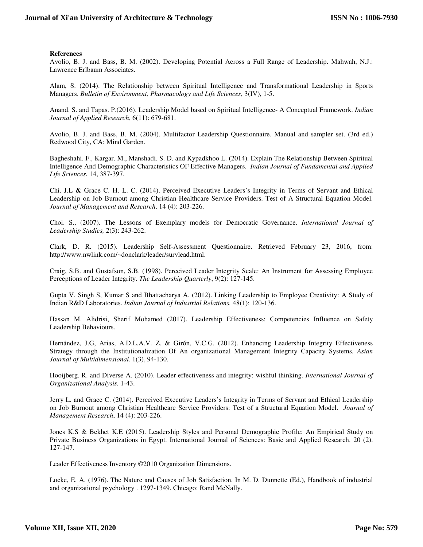#### **References**

Avolio, B. J. and Bass, B. M. (2002). Developing Potential Across a Full Range of Leadership. Mahwah, N.J.: Lawrence Erlbaum Associates.

Alam, S. (2014). The Relationship between Spiritual Intelligence and Transformational Leadership in Sports Managers. *Bulletin of Environment, Pharmacology and Life Sciences*, 3(IV), 1-5.

Anand. S. and Tapas. P.(2016). Leadership Model based on Spiritual Intelligence- A Conceptual Framework. *Indian Journal of Applied Research*, 6(11): 679-681.

Avolio, B. J. and Bass, B. M. (2004). Multifactor Leadership Questionnaire. Manual and sampler set. (3rd ed.) Redwood City, CA: Mind Garden.

Bagheshahi. F., Kargar. M., Manshadi. S. D. and Kypadkhoo L. (2014). Explain The Relationship Between Spiritual Intelligence And Demographic Characteristics OF Effective Managers. *Indian Journal of Fundamental and Applied Life Sciences.* 14, 387-397.

Chi. J.L **&** Grace C. H. L. C. (2014). Perceived Executive Leaders's Integrity in Terms of Servant and Ethical Leadership on Job Burnout among Christian Healthcare Service Providers. Test of A Structural Equation Model. *Journal of Management and Research*. 14 (4): 203-226.

Choi. S., (2007). The Lessons of Exemplary models for Democratic Governance. *International Journal of Leadership Studies,* 2(3): 243-262.

Clark, D. R. (2015). Leadership Self-Assessment Questionnaire. Retrieved February 23, 2016, from: http://www.nwlink.com/~donclark/leader/survlead.html.

Craig, S.B. and Gustafson, S.B. (1998). Perceived Leader Integrity Scale: An Instrument for Assessing Employee Perceptions of Leader Integrity. *The Leadership Quarterly*, 9(2): 127-145.

Gupta V, Singh S, Kumar S and Bhattacharya A. (2012). Linking Leadership to Employee Creativity: A Study of Indian R&D Laboratories. *Indian Journal of Industrial Relations.* 48(1): 120-136.

Hassan M. Alidrisi, Sherif Mohamed (2017). Leadership Effectiveness: Competencies Influence on Safety Leadership Behaviours.

Hernández, J.G, Arias, A.D.L.A.V. Z. & Girón, V.C.G. (2012). Enhancing Leadership Integrity Effectiveness Strategy through the Institutionalization Of An organizational Management Integrity Capacity Systems*. Asian Journal of Multidimensional*. 1(3), 94-130.

Hooijberg. R. and Diverse A. (2010). Leader effectiveness and integrity: wishful thinking. *International Journal of Organizational Analysis.* 1-43.

Jerry L. and Grace C. (2014). Perceived Executive Leaders's Integrity in Terms of Servant and Ethical Leadership on Job Burnout among Christian Healthcare Service Providers: Test of a Structural Equation Model. *Journal of Management Research*, 14 (4): 203-226.

Jones K.S & Bekhet K.E (2015). Leadership Styles and Personal Demographic Profile: An Empirical Study on Private Business Organizations in Egypt. International Journal of Sciences: Basic and Applied Research. 20 (2). 127-147.

Leader Effectiveness Inventory ©2010 Organization Dimensions.

Locke, E. A. (1976). The Nature and Causes of Job Satisfaction. In M. D. Dunnette (Ed.), Handbook of industrial and organizational psychology . 1297-1349. Chicago: Rand McNally.